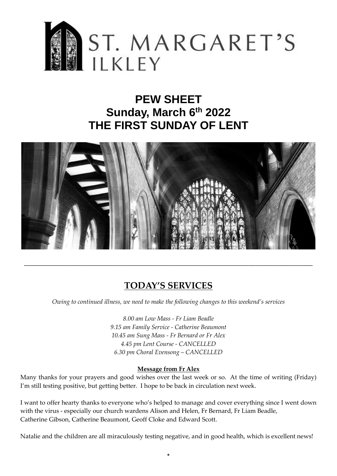

# **PEW SHEET Sunday, March 6th 2022 THE FIRST SUNDAY OF LENT**



# **TODAY'S SERVICES**

\_\_\_\_\_\_\_\_\_\_\_\_\_\_\_\_\_\_\_\_\_\_\_\_\_\_\_\_\_\_\_\_\_\_\_\_\_\_\_\_\_\_\_\_\_\_\_\_\_\_\_\_\_\_\_\_\_\_\_\_\_\_\_\_\_\_\_\_\_\_\_\_\_\_\_\_\_\_\_\_\_\_\_\_\_

*Owing to continued illness, we need to make the following changes to this weekend's services*

*8.00 am Low Mass - Fr Liam Beadle 9.15 am Family Service - Catherine Beaumont 10.45 am Sung Mass - Fr Bernard or Fr Alex 4.45 pm Lent Course - CANCELLED 6.30 pm Choral Evensong – CANCELLED*

#### **Message from Fr Alex**

Many thanks for your prayers and good wishes over the last week or so. At the time of writing (Friday) I'm still testing positive, but getting better. I hope to be back in circulation next week.

I want to offer hearty thanks to everyone who's helped to manage and cover everything since I went down with the virus - especially our church wardens Alison and Helen, Fr Bernard, Fr Liam Beadle, Catherine Gibson, Catherine Beaumont, Geoff Cloke and Edward Scott.

Natalie and the children are all miraculously testing negative, and in good health, which is excellent news!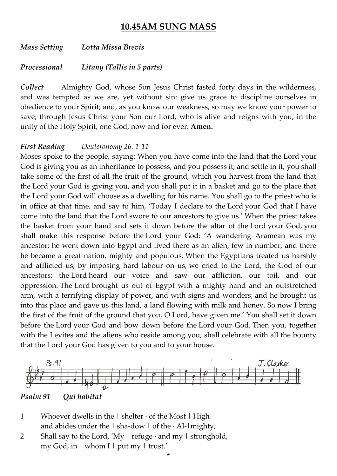## **10.45AM SUNG MASS**

*Mass Setting Lotta Missa Brevis*

*Processional Litany (Tallis in 5 parts)*

*Collect* Almighty God, whose Son Jesus Christ fasted forty days in the wilderness, and was tempted as we are, yet without sin: give us grace to discipline ourselves in obedience to your Spirit; and, as you know our weakness, so may we know your power to save; through Jesus Christ your Son our Lord, who is alive and reigns with you, in the unity of the Holy Spirit, one God, now and for ever. **Amen.**

#### *First Reading Deuteronomy 26. 1-11*

Moses spoke to the people, saying: When you have come into the land that the Lord your God is giving you as an inheritance to possess, and you possess it, and settle in it, you shall take some of the first of all the fruit of the ground, which you harvest from the land that the Lord your God is giving you, and you shall put it in a basket and go to the place that the Lord your God will choose as a dwelling for his name. You shall go to the priest who is in office at that time, and say to him, 'Today I declare to the Lord your God that I have come into the land that the Lord swore to our ancestors to give us.' When the priest takes the basket from your hand and sets it down before the altar of the Lord your God, you shall make this response before the Lord your God: 'A wandering Aramean was my ancestor; he went down into Egypt and lived there as an alien, few in number, and there he became a great nation, mighty and populous. When the Egyptians treated us harshly and afflicted us, by imposing hard labour on us, we cried to the Lord, the God of our ancestors; the Lord heard our voice and saw our affliction, our toil, and our oppression. The Lord brought us out of Egypt with a mighty hand and an outstretched arm, with a terrifying display of power, and with signs and wonders; and he brought us into this place and gave us this land, a land flowing with milk and honey. So now I bring the first of the fruit of the ground that you, O Lord, have given me.' You shall set it down before the Lord your God and bow down before the Lord your God. Then you, together with the Levites and the aliens who reside among you, shall celebrate with all the bounty that the Lord your God has given to you and to your house.



\*

*Psalm 91 Qui habitat*

- 1 Whoever dwells in the  $\vert$  shelter  $\cdot$  of the Most  $\vert$  High and abides under the  $\vert$  sha-dow  $\vert$  of the  $\cdot$  Al- $\vert$  mighty,
- 2 Shall say to the Lord, 'My  $\mid$  refuge  $\cdot$  and my  $\mid$  stronghold, my God, in  $\vert$  whom I  $\vert$  put my  $\vert$  trust.'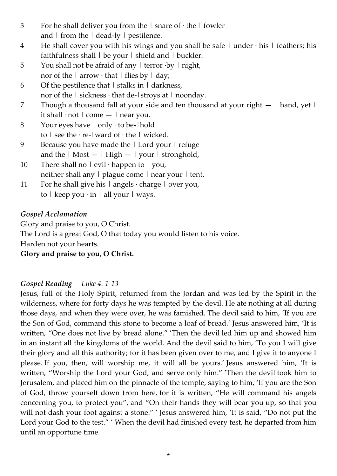- 3 For he shall deliver you from the  $\vert$  snare of  $\cdot$  the  $\vert$  fowler and  $\vert$  from the  $\vert$  dead-ly  $\vert$  pestilence.
- 4 He shall cover you with his wings and you shall be safe  $\vert$  under  $\cdot$  his  $\vert$  feathers; his faithfulness shall  $\vert$  be your  $\vert$  shield and  $\vert$  buckler.
- 5 You shall not be afraid of any | terror ·by | night, nor of the  $\vert$  arrow  $\cdot$  that  $\vert$  flies by  $\vert$  day;
- 6 Of the pestilence that  $\vert$  stalks in  $\vert$  darkness, nor of the  $\vert$  sickness  $\cdot$  that de- $\vert$ stroys at  $\vert$  noonday.
- 7 Though a thousand fall at your side and ten thousand at your right  $-$  | hand, yet | it shall  $\cdot$  not  $\vert$  come  $\vert$  near you.
- 8 Your eyes have  $|$  only  $\cdot$  to be- $|$ hold to  $\vert$  see the  $\cdot$  re- $\vert$  ward of  $\cdot$  the  $\vert$  wicked.
- 9 Because you have made the | Lord your | refuge and the  $\vert$  Most  $\vert$  High  $\vert$  your  $\vert$  stronghold,
- 10 There shall no  $\vert$  evil  $\cdot$  happen to  $\vert$  you, neither shall any  $\vert$  plague come  $\vert$  near your  $\vert$  tent.
- 11 For he shall give his  $\vert$  angels  $\cdot$  charge  $\vert$  over you, to  $\vert$  keep you  $\cdot$  in  $\vert$  all your  $\vert$  ways.

### *Gospel Acclamation*

Glory and praise to you, O Christ. The Lord is a great God, O that today you would listen to his voice. Harden not your hearts.

**Glory and praise to you, O Christ.**

### *Gospel Reading Luke 4. 1-13*

Jesus, full of the Holy Spirit, returned from the Jordan and was led by the Spirit in the wilderness, where for forty days he was tempted by the devil. He ate nothing at all during those days, and when they were over, he was famished. The devil said to him, 'If you are the Son of God, command this stone to become a loaf of bread.' Jesus answered him, 'It is written, "One does not live by bread alone." 'Then the devil led him up and showed him in an instant all the kingdoms of the world. And the devil said to him, 'To you I will give their glory and all this authority; for it has been given over to me, and I give it to anyone I please. If you, then, will worship me, it will all be yours.' Jesus answered him, 'It is written, "Worship the Lord your God, and serve only him." 'Then the devil took him to Jerusalem, and placed him on the pinnacle of the temple, saying to him, 'If you are the Son of God, throw yourself down from here, for it is written, "He will command his angels concerning you, to protect you", and "On their hands they will bear you up, so that you will not dash your foot against a stone." ' Jesus answered him, 'It is said, "Do not put the Lord your God to the test." ' When the devil had finished every test, he departed from him until an opportune time.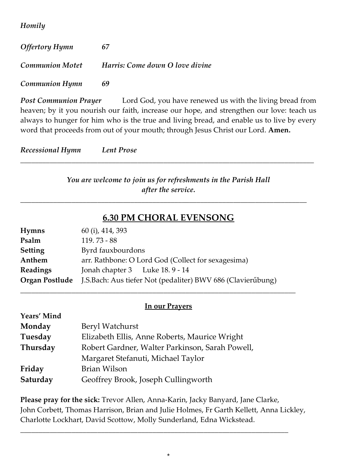*Homily*

| <b>Offertory Hymn</b>  | 67                              |
|------------------------|---------------------------------|
| <b>Communion Motet</b> | Harris: Come down O love divine |
| <b>Communion Hymn</b>  | 69                              |

**Post Communion Prayer** Lord God, you have renewed us with the living bread from heaven; by it you nourish our faith, increase our hope, and strengthen our love: teach us always to hunger for him who is the true and living bread, and enable us to live by every word that proceeds from out of your mouth; through Jesus Christ our Lord. **Amen.**

*Recessional Hymn Lent Prose* 

*You are welcome to join us for refreshments in the Parish Hall after the service.*

*\_\_\_\_\_\_\_\_\_\_\_\_\_\_\_\_\_\_\_\_\_\_\_\_\_\_\_\_\_\_\_\_\_\_\_\_\_\_\_\_\_\_\_\_\_\_\_\_\_\_\_\_\_\_\_\_\_\_\_\_\_\_\_\_\_\_\_\_\_\_\_\_\_\_\_\_\_\_\_\_*

## **6.30 PM CHORAL EVENSONG**

*\_\_\_\_\_\_\_\_\_\_\_\_\_\_\_\_\_\_\_\_\_\_\_\_\_\_\_\_\_\_\_\_\_\_\_\_\_\_\_\_\_\_\_\_\_\_\_\_\_\_\_\_\_\_\_\_\_\_\_\_\_\_\_\_\_\_\_\_\_\_\_\_\_\_\_\_\_\_*

| <b>Hymns</b>    | 60 (i), 414, 393                                            |  |  |
|-----------------|-------------------------------------------------------------|--|--|
| Psalm           | $119.73 - 88$                                               |  |  |
| <b>Setting</b>  | Byrd fauxbourdons                                           |  |  |
| Anthem          | arr. Rathbone: O Lord God (Collect for sexagesima)          |  |  |
| <b>Readings</b> | Jonah chapter 3 Luke 18.9 - 14                              |  |  |
| Organ Postlude  | J.S.Bach: Aus tiefer Not (pedaliter) BWV 686 (Clavierűbung) |  |  |

#### **In our Prayers**

*\_\_\_\_\_\_\_\_\_\_\_\_\_\_\_\_\_\_\_\_\_\_\_\_\_\_\_\_\_\_\_\_\_\_\_\_\_\_\_\_\_\_\_\_\_\_\_\_\_\_\_\_\_\_\_\_\_\_\_\_\_\_\_\_\_\_\_\_\_\_\_\_\_\_\_*

| Years' Mind |                                                 |  |
|-------------|-------------------------------------------------|--|
| Monday      | Beryl Watchurst                                 |  |
| Tuesday     | Elizabeth Ellis, Anne Roberts, Maurice Wright   |  |
| Thursday    | Robert Gardner, Walter Parkinson, Sarah Powell, |  |
|             | Margaret Stefanuti, Michael Taylor              |  |
| Friday      | <b>Brian Wilson</b>                             |  |
| Saturday    | Geoffrey Brook, Joseph Cullingworth             |  |

**Please pray for the sick:** Trevor Allen, Anna-Karin, Jacky Banyard, Jane Clarke, John Corbett, Thomas Harrison, Brian and Julie Holmes, Fr Garth Kellett, Anna Lickley, Charlotte Lockhart, David Scottow, Molly Sunderland, Edna Wickstead.

*\_\_\_\_\_\_\_\_\_\_\_\_\_\_\_\_\_\_\_\_\_\_\_\_\_\_\_\_\_\_\_\_\_\_\_\_\_\_\_\_\_\_\_\_\_\_\_\_\_\_\_\_\_\_\_\_\_\_\_\_\_\_\_\_\_\_\_\_\_\_\_\_\_*

\*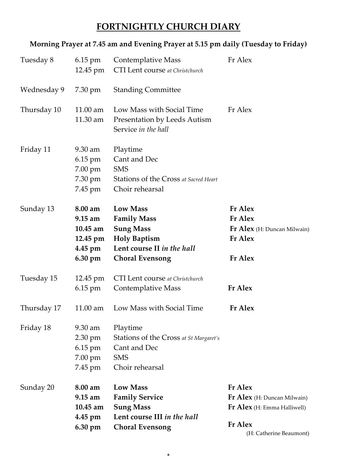# **FORTNIGHTLY CHURCH DIARY**

## **Morning Prayer at 7.45 am and Evening Prayer at 5.15 pm daily (Tuesday to Friday)**

| Tuesday 8   | $6.15$ pm<br>12.45 pm                                                        | Fr Alex<br><b>Contemplative Mass</b><br>CTI Lent course at Christchurch                                                                  |                                                                                                                                  |
|-------------|------------------------------------------------------------------------------|------------------------------------------------------------------------------------------------------------------------------------------|----------------------------------------------------------------------------------------------------------------------------------|
| Wednesday 9 | 7.30 pm                                                                      | <b>Standing Committee</b>                                                                                                                |                                                                                                                                  |
| Thursday 10 | 11.00 am<br>11.30 am                                                         | Low Mass with Social Time<br><b>Presentation by Leeds Autism</b><br>Service in the hall                                                  | Fr Alex                                                                                                                          |
| Friday 11   | $9.30 \text{ am}$<br>6.15 pm<br>7.00 pm<br>7.30 pm<br>7.45 pm                | Playtime<br>Cant and Dec<br><b>SMS</b><br>Stations of the Cross at Sacred Heart<br>Choir rehearsal                                       |                                                                                                                                  |
| Sunday 13   | 8.00 am<br>$9.15 \text{ am}$<br>$10.45$ am<br>12.45 pm<br>4.45 pm<br>6.30 pm | <b>Low Mass</b><br><b>Family Mass</b><br><b>Sung Mass</b><br><b>Holy Baptism</b><br>Lent course II in the hall<br><b>Choral Evensong</b> | <b>Fr Alex</b><br><b>Fr</b> Alex<br>Fr Alex (H: Duncan Milwain)<br><b>Fr Alex</b><br><b>Fr</b> Alex                              |
| Tuesday 15  | 12.45 pm<br>6.15 pm                                                          | <b>CTI</b> Lent course at Christchurch<br>Contemplative Mass                                                                             | <b>Fr</b> Alex                                                                                                                   |
| Thursday 17 | $11.00$ am                                                                   | Low Mass with Social Time                                                                                                                | Fr Alex                                                                                                                          |
| Friday 18   | 9.30 am<br>$2.30 \text{ pm}$<br>$6.15$ pm<br>7.00 pm<br>7.45 pm              | Playtime<br>Stations of the Cross at St Margaret's<br>Cant and Dec<br><b>SMS</b><br>Choir rehearsal                                      |                                                                                                                                  |
| Sunday 20   | 8.00 am<br>$9.15 \text{ am}$<br>10.45 am<br>$4.45$ pm<br>6.30 pm             | <b>Low Mass</b><br><b>Family Service</b><br><b>Sung Mass</b><br>Lent course III in the hall<br><b>Choral Evensong</b>                    | <b>Fr</b> Alex<br>Fr Alex (H: Duncan Milwain)<br><b>Fr Alex</b> (H: Emma Halliwell)<br><b>Fr</b> Alex<br>(H: Catherine Beaumont) |

\*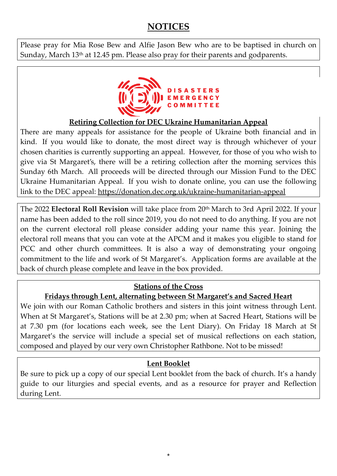# **NOTICES**

Please pray for Mia Rose Bew and Alfie Jason Bew who are to be baptised in church on Sunday, March 13<sup>th</sup> at 12.45 pm. Please also pray for their parents and godparents.



### **Retiring Collection for DEC Ukraine Humanitarian Appeal**

There are many appeals for assistance for the people of Ukraine both financial and in kind. If you would like to donate, the most direct way is through whichever of your chosen charities is currently supporting an appeal. However, for those of you who wish to give via St Margaret's, there will be a retiring collection after the morning services this Sunday 6th March. All proceeds will be directed through our Mission Fund to the DEC Ukraine Humanitarian Appeal. If you wish to donate online, you can use the following link to the DEC appeal: <https://donation.dec.org.uk/ukraine-humanitarian-appeal>

The 2022 **Electoral Roll Revision** will take place from 20th March to 3rd April 2022. If your name has been added to the roll since 2019, you do not need to do anything. If you are not on the current electoral roll please consider adding your name this year. Joining the electoral roll means that you can vote at the APCM and it makes you eligible to stand for PCC and other church committees. It is also a way of demonstrating your ongoing commitment to the life and work of St Margaret's. Application forms are available at the back of church please complete and leave in the box provided.

### **Stations of the Cross**

#### **Fridays through Lent, alternating between St Margaret's and Sacred Heart**

We join with our Roman Catholic brothers and sisters in this joint witness through Lent. When at St Margaret's, Stations will be at 2.30 pm; when at Sacred Heart, Stations will be at 7.30 pm (for locations each week, see the Lent Diary). On Friday 18 March at St Margaret's the service will include a special set of musical reflections on each station, composed and played by our very own Christopher Rathbone. Not to be missed!

### **Lent Booklet**

Be sure to pick up a copy of our special Lent booklet from the back of church. It's a handy guide to our liturgies and special events, and as a resource for prayer and Reflection during Lent.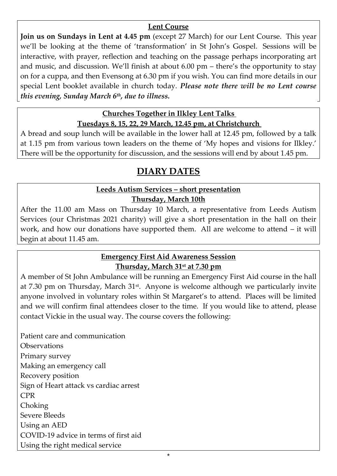#### **Lent Course**

**Join us on Sundays in Lent at 4.45 pm** (except 27 March) for our Lent Course. This year we'll be looking at the theme of 'transformation' in St John's Gospel. Sessions will be interactive, with prayer, reflection and teaching on the passage perhaps incorporating art and music, and discussion. We'll finish at about 6.00 pm – there's the opportunity to stay on for a cuppa, and then Evensong at 6.30 pm if you wish. You can find more details in our special Lent booklet available in church today. *Please note there will be no Lent course this evening, Sunday March 6th, due to illness.*

#### **Churches Together in Ilkley Lent Talks Tuesdays 8, 15, 22, 29 March, 12.45 pm, at Christchurch**

A bread and soup lunch will be available in the lower hall at 12.45 pm, followed by a talk at 1.15 pm from various town leaders on the theme of 'My hopes and visions for Ilkley.' There will be the opportunity for discussion, and the sessions will end by about 1.45 pm.

# **DIARY DATES**

## **Leeds Autism Services – short presentation Thursday, March 10th**

After the 11.00 am Mass on Thursday 10 March, a representative from Leeds Autism Services (our Christmas 2021 charity) will give a short presentation in the hall on their work, and how our donations have supported them. All are welcome to attend – it will begin at about 11.45 am.

### **Emergency First Aid Awareness Session Thursday, March 31st at 7.30 pm**

A member of St John Ambulance will be running an Emergency First Aid course in the hall at 7.30 pm on Thursday, March 31<sup>st</sup>. Anyone is welcome although we particularly invite anyone involved in voluntary roles within St Margaret's to attend. Places will be limited and we will confirm final attendees closer to the time. If you would like to attend, please contact Vickie in the usual way. The course covers the following:

Patient care and communication **Observations** Primary survey Making an emergency call Recovery position Sign of Heart attack vs cardiac arrest CPR Choking Severe Bleeds Using an AED COVID-19 advice in terms of first aid Using the right medical service